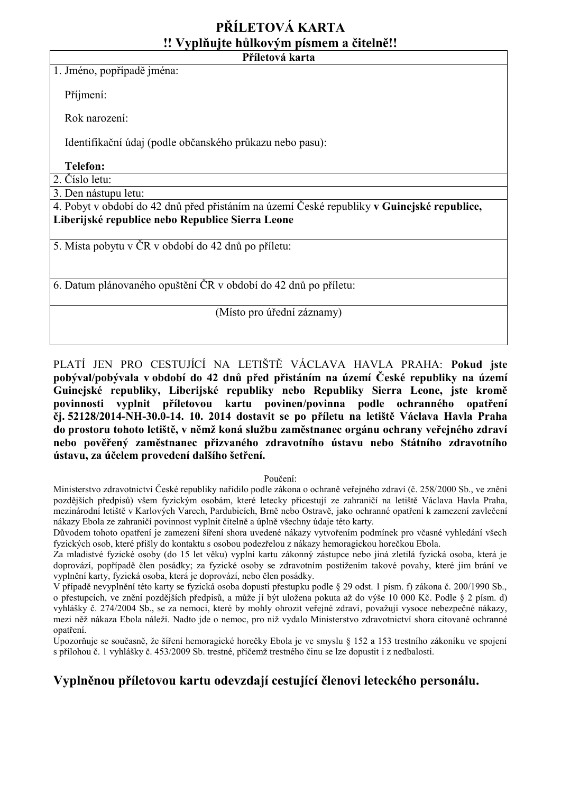# **PŘÍLETOVÁ KARTA !! Vyplňujte hůlkovým písmem a čitelně!! Příletová karta**

1. Jméno, popřípadě jména:

Příjmení:

Rok narození:

Identifikační údaj (podle občanského průkazu nebo pasu):

# **Telefon:**

2. Číslo letu:

3. Den nástupu letu:

4. Pobyt v období do 42 dnů před přistáním na území České republiky **v Guinejské republice, Liberijské republice nebo Republice Sierra Leone**

5. Místa pobytu v ČR v období do 42 dnů po příletu:

6. Datum plánovaného opuštění ČR v období do 42 dnů po příletu:

## (Místo pro úřední záznamy)

PLATÍ JEN PRO CESTUJÍCÍ NA LETIŠTĚ VÁCLAVA HAVLA PRAHA: **Pokud jste pobýval/pobývala v období do 42 dnů před přistáním na území České republiky na území Guinejské republiky, Liberijské republiky nebo Republiky Sierra Leone, jste kromě povinnosti vyplnit příletovou kartu povinen/povinna podle ochranného opatření čj. 52128/2014-NH-30.0-14. 10. 2014 dostavit se po příletu na letiště Václava Havla Praha do prostoru tohoto letiště, v němž koná službu zaměstnanec orgánu ochrany veřejného zdraví nebo pověřený zaměstnanec přizvaného zdravotního ústavu nebo Státního zdravotního ústavu, za účelem provedení dalšího šetření.**

### Poučení:

Ministerstvo zdravotnictví České republiky nařídilo podle zákona o ochraně veřejného zdraví (č. 258/2000 Sb., ve znění pozdějších předpisů) všem fyzickým osobám, které letecky přicestují ze zahraničí na letiště Václava Havla Praha, mezinárodní letiště v Karlových Varech, Pardubicích, Brně nebo Ostravě, jako ochranné opatření k zamezení zavlečení nákazy Ebola ze zahraničí povinnost vyplnit čitelně a úplně všechny údaje této karty.

Důvodem tohoto opatření je zamezení šíření shora uvedené nákazy vytvořením podmínek pro včasné vyhledání všech fyzických osob, které přišly do kontaktu s osobou podezřelou z nákazy hemoragickou horečkou Ebola.

Za mladistvé fyzické osoby (do 15 let věku) vyplní kartu zákonný zástupce nebo jiná zletilá fyzická osoba, která je doprovází, popřípadě člen posádky; za fyzické osoby se zdravotním postižením takové povahy, které jim brání ve vyplnění karty, fyzická osoba, která je doprovází, nebo člen posádky.

V případě nevyplnění této karty se fyzická osoba dopustí přestupku podle § 29 odst. 1 písm. f) zákona č. 200/1990 Sb., o přestupcích, ve znění pozdějších předpisů, a může jí být uložena pokuta až do výše 10 000 Kč. Podle § 2 písm. d) vyhlášky č. 274/2004 Sb., se za nemoci, které by mohly ohrozit veřejné zdraví, považují vysoce nebezpečné nákazy, mezi něž nákaza Ebola náleží. Nadto jde o nemoc, pro niž vydalo Ministerstvo zdravotnictví shora citované ochranné opatření.

Upozorňuje se současně, že šíření hemoragické horečky Ebola je ve smyslu § 152 a 153 trestního zákoníku ve spojení s přílohou č. 1 vyhlášky č. 453/2009 Sb. trestné, přičemž trestného činu se lze dopustit i z nedbalosti.

# **Vyplněnou příletovou kartu odevzdají cestující členovi leteckého personálu.**